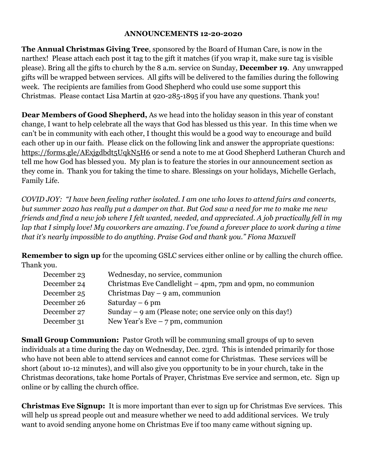## **ANNOUNCEMENTS 12-20-2020**

**The Annual Christmas Giving Tree**, sponsored by the Board of Human Care, is now in the narthex! Please attach each post it tag to the gift it matches (if you wrap it, make sure tag is visible please). Bring all the gifts to church by the 8 a.m. service on Sunday, **December 19**. Any unwrapped gifts will be wrapped between services. All gifts will be delivered to the families during the following week. The recipients are families from Good Shepherd who could use some support this Christmas. Please contact Lisa Martin at 920-285-1895 if you have any questions. Thank you!

**Dear Members of Good Shepherd,** As we head into the holiday season in this year of constant change, I want to help celebrate all the ways that God has blessed us this year. In this time when we can't be in community with each other, I thought this would be a good way to encourage and build each other up in our faith. Please click on the following link and answer the appropriate questions: <https://forms.gle/AExjgdbdt5UqkN5H6> or send a note to me at Good Shepherd Lutheran Church and tell me how God has blessed you. My plan is to feature the stories in our announcement section as they come in. Thank you for taking the time to share. Blessings on your holidays, Michelle Gerlach, Family Life.

*COVID JOY: "I have been feeling rather isolated. I am one who loves to attend fairs and concerts, but summer 2020 has really put a damper on that. But God saw a need for me to make me new friends and find a new job where I felt wanted, needed, and appreciated. A job practically fell in my lap that I simply love! My coworkers are amazing. I've found a forever place to work during a time that it's nearly impossible to do anything. Praise God and thank you." Fiona Maxwell*

**Remember to sign up** for the upcoming GSLC services either online or by calling the church office. Thank you.

| Wednesday, no service, communion                             |
|--------------------------------------------------------------|
| Christmas Eve Candlelight $-$ 4pm, 7pm and 9pm, no communion |
| Christmas Day $-9$ am, communion                             |
| Saturday $-6$ pm                                             |
| Sunday $-9$ am (Please note; one service only on this day!)  |
| New Year's Eve $-7$ pm, communion                            |
|                                                              |

**Small Group Communion:** Pastor Groth will be communing small groups of up to seven individuals at a time during the day on Wednesday, Dec. 23rd. This is intended primarily for those who have not been able to attend services and cannot come for Christmas. These services will be short (about 10-12 minutes), and will also give you opportunity to be in your church, take in the Christmas decorations, take home Portals of Prayer, Christmas Eve service and sermon, etc. Sign up online or by calling the church office.

**Christmas Eve Signup:** It is more important than ever to sign up for Christmas Eve services. This will help us spread people out and measure whether we need to add additional services. We truly want to avoid sending anyone home on Christmas Eve if too many came without signing up.